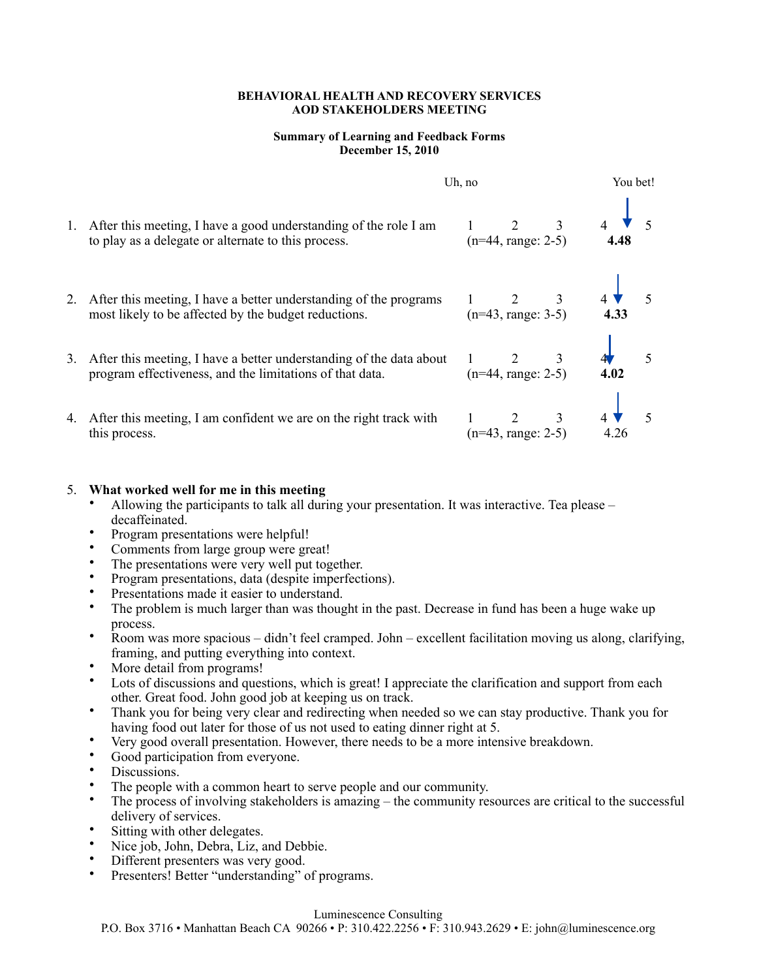#### **BEHAVIORAL HEALTH AND RECOVERY SERVICES AOD STAKEHOLDERS MEETING**

### **Summary of Learning and Feedback Forms December 15, 2010**

|    |                                                                                                                                 | Uh, no                                      | You bet!  |  |
|----|---------------------------------------------------------------------------------------------------------------------------------|---------------------------------------------|-----------|--|
| 1. | After this meeting, I have a good understanding of the role I am<br>to play as a delegate or alternate to this process.         | $2 \qquad \qquad 3$<br>$(n=44, range: 2-5)$ | 4.48      |  |
|    | 2. After this meeting, I have a better understanding of the programs<br>most likely to be affected by the budget reductions.    | $2 \t 3$<br>$(n=43, range: 3-5)$            | 4.33      |  |
| 3. | After this meeting, I have a better understanding of the data about<br>program effectiveness, and the limitations of that data. | $(n=44, range: 2-5)$                        | 5<br>4.02 |  |
|    | 4. After this meeting, I am confident we are on the right track with<br>this process.                                           | $\overline{3}$<br>$(n=43, range: 2-5)$      | 4.26      |  |

## 5. **What worked well for me in this meeting**

- Allowing the participants to talk all during your presentation. It was interactive. Tea please decaffeinated.
- Program presentations were helpful!
- Comments from large group were great!
- The presentations were very well put together.
- Program presentations, data (despite imperfections).
- Presentations made it easier to understand.
- The problem is much larger than was thought in the past. Decrease in fund has been a huge wake up process.
- Room was more spacious didn't feel cramped. John excellent facilitation moving us along, clarifying, framing, and putting everything into context.
- More detail from programs!
- Lots of discussions and questions, which is great! I appreciate the clarification and support from each other. Great food. John good job at keeping us on track.
- Thank you for being very clear and redirecting when needed so we can stay productive. Thank you for having food out later for those of us not used to eating dinner right at 5.
- Very good overall presentation. However, there needs to be a more intensive breakdown.
- Good participation from everyone.
- Discussions.
- The people with a common heart to serve people and our community.
- The process of involving stakeholders is amazing the community resources are critical to the successful delivery of services.
- Sitting with other delegates.
- Nice job, John, Debra, Liz, and Debbie.
- Different presenters was very good.
- Presenters! Better "understanding" of programs.

### Luminescence Consulting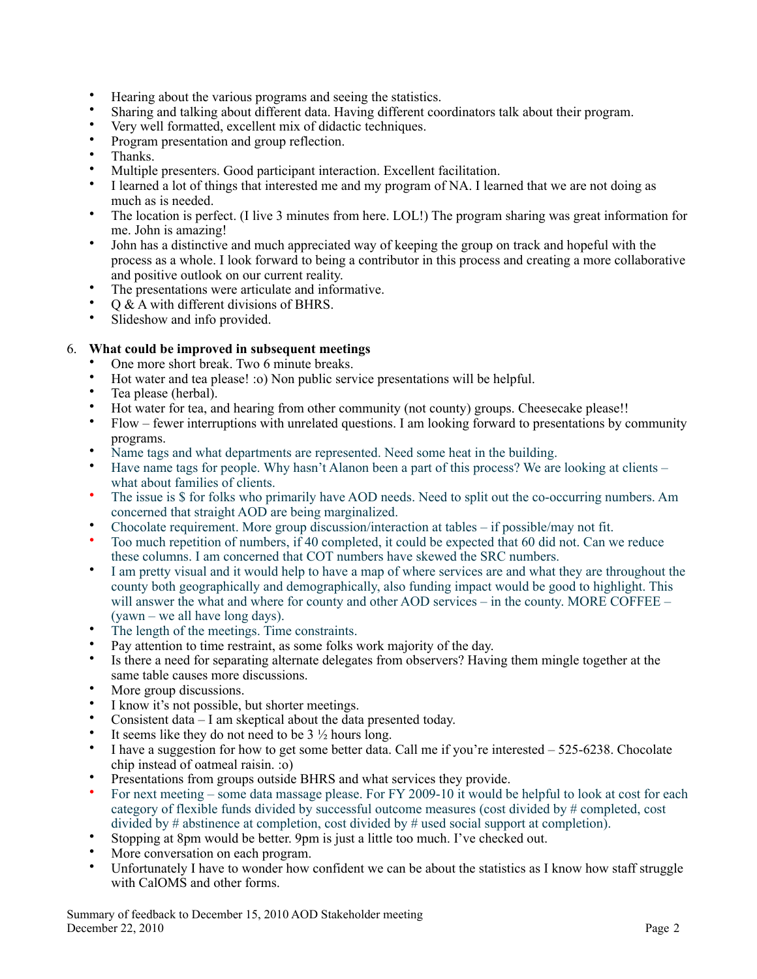- Hearing about the various programs and seeing the statistics.
- Sharing and talking about different data. Having different coordinators talk about their program.
- Very well formatted, excellent mix of didactic techniques.
- Program presentation and group reflection.
- Thanks.
- Multiple presenters. Good participant interaction. Excellent facilitation.
- I learned a lot of things that interested me and my program of NA. I learned that we are not doing as much as is needed.
- The location is perfect. (I live 3 minutes from here. LOL!) The program sharing was great information for me. John is amazing!
- John has a distinctive and much appreciated way of keeping the group on track and hopeful with the process as a whole. I look forward to being a contributor in this process and creating a more collaborative and positive outlook on our current reality.
- The presentations were articulate and informative.
- Q & A with different divisions of BHRS.
- Slideshow and info provided.

# 6. **What could be improved in subsequent meetings**

- One more short break. Two 6 minute breaks.<br>• Hot water and tea pleasel : 0) Non public servi-
- Hot water and tea please! :o) Non public service presentations will be helpful.
- Tea please (herbal).
- Hot water for tea, and hearing from other community (not county) groups. Cheesecake please!!
- Flow fewer interruptions with unrelated questions. I am looking forward to presentations by community programs.
- Name tags and what departments are represented. Need some heat in the building.
- Have name tags for people. Why hasn't Alanon been a part of this process? We are looking at clients what about families of clients.
- The issue is \$ for folks who primarily have AOD needs. Need to split out the co-occurring numbers. Am concerned that straight AOD are being marginalized.
- Chocolate requirement. More group discussion/interaction at tables if possible/may not fit.
- Too much repetition of numbers, if 40 completed, it could be expected that 60 did not. Can we reduce these columns. I am concerned that COT numbers have skewed the SRC numbers.
- I am pretty visual and it would help to have a map of where services are and what they are throughout the county both geographically and demographically, also funding impact would be good to highlight. This will answer the what and where for county and other AOD services – in the county. MORE COFFEE – (yawn – we all have long days).
- The length of the meetings. Time constraints.
- Pay attention to time restraint, as some folks work majority of the day.
- Is there a need for separating alternate delegates from observers? Having them mingle together at the same table causes more discussions.
- More group discussions.
- I know it's not possible, but shorter meetings.
- Consistent data I am skeptical about the data presented today.
- It seems like they do not need to be  $3\frac{1}{2}$  hours long.
- I have a suggestion for how to get some better data. Call me if you're interested  $-525-6238$ . Chocolate chip instead of oatmeal raisin. :o)
- Presentations from groups outside BHRS and what services they provide.
- For next meeting some data massage please. For FY 2009-10 it would be helpful to look at cost for each category of flexible funds divided by successful outcome measures (cost divided by # completed, cost divided by # abstinence at completion, cost divided by # used social support at completion).
- Stopping at 8pm would be better. 9pm is just a little too much. I've checked out.
- More conversation on each program.
- Unfortunately I have to wonder how confident we can be about the statistics as I know how staff struggle with CalOMS and other forms.